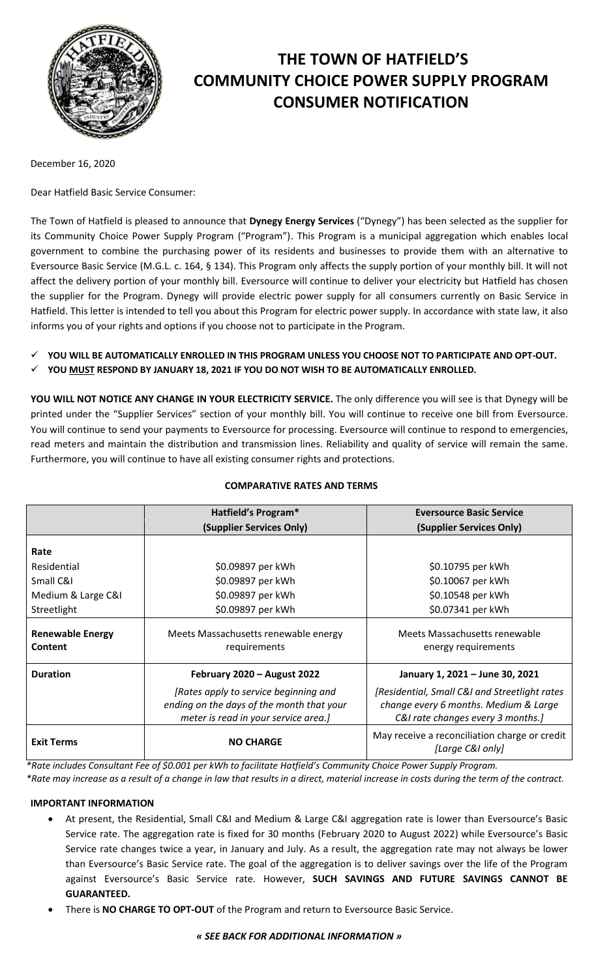

# **THE TOWN OF HATFIELD'S COMMUNITY CHOICE POWER SUPPLY PROGRAM CONSUMER NOTIFICATION**

December 16, 2020

Dear Hatfield Basic Service Consumer:

The Town of Hatfield is pleased to announce that **Dynegy Energy Services** ("Dynegy") has been selected as the supplier for its Community Choice Power Supply Program ("Program"). This Program is a municipal aggregation which enables local government to combine the purchasing power of its residents and businesses to provide them with an alternative to Eversource Basic Service (M.G.L. c. 164, § 134). This Program only affects the supply portion of your monthly bill. It will not affect the delivery portion of your monthly bill. Eversource will continue to deliver your electricity but Hatfield has chosen the supplier for the Program. Dynegy will provide electric power supply for all consumers currently on Basic Service in Hatfield. This letter is intended to tell you about this Program for electric power supply. In accordance with state law, it also informs you of your rights and options if you choose not to participate in the Program.

- **YOU WILL BE AUTOMATICALLY ENROLLED IN THIS PROGRAM UNLESS YOU CHOOSE NOT TO PARTICIPATE AND OPT-OUT.**
- **YOU MUST RESPOND BY JANUARY 18, 2021 IF YOU DO NOT WISH TO BE AUTOMATICALLY ENROLLED.**

**YOU WILL NOT NOTICE ANY CHANGE IN YOUR ELECTRICITY SERVICE.** The only difference you will see is that Dynegy will be printed under the "Supplier Services" section of your monthly bill. You will continue to receive one bill from Eversource. You will continue to send your payments to Eversource for processing. Eversource will continue to respond to emergencies, read meters and maintain the distribution and transmission lines. Reliability and quality of service will remain the same. Furthermore, you will continue to have all existing consumer rights and protections.

|                                           | Hatfield's Program*                                                                                                        | <b>Eversource Basic Service</b>                                                                                             |
|-------------------------------------------|----------------------------------------------------------------------------------------------------------------------------|-----------------------------------------------------------------------------------------------------------------------------|
|                                           | (Supplier Services Only)                                                                                                   | (Supplier Services Only)                                                                                                    |
| Rate                                      |                                                                                                                            |                                                                                                                             |
| Residential                               | \$0.09897 per kWh                                                                                                          | \$0.10795 per kWh                                                                                                           |
| Small C&I                                 | \$0.09897 per kWh                                                                                                          | \$0.10067 per kWh                                                                                                           |
| Medium & Large C&I                        | \$0.09897 per kWh                                                                                                          | \$0.10548 per kWh                                                                                                           |
| Streetlight                               | \$0.09897 per kWh                                                                                                          | \$0.07341 per kWh                                                                                                           |
| <b>Renewable Energy</b><br><b>Content</b> | Meets Massachusetts renewable energy<br>requirements                                                                       | Meets Massachusetts renewable<br>energy requirements                                                                        |
| <b>Duration</b>                           | February 2020 - August 2022                                                                                                | January 1, 2021 - June 30, 2021                                                                                             |
|                                           | [Rates apply to service beginning and<br>ending on the days of the month that your<br>meter is read in your service area.] | [Residential, Small C&I and Streetlight rates<br>change every 6 months. Medium & Large<br>C&I rate changes every 3 months.] |
| <b>Exit Terms</b>                         | <b>NO CHARGE</b>                                                                                                           | May receive a reconciliation charge or credit<br>[Large C&I only]                                                           |

# **COMPARATIVE RATES AND TERMS**

*\*Rate includes Consultant Fee of \$0.001 per kWh to facilitate Hatfield's Community Choice Power Supply Program.*

*\*Rate may increase as a result of a change in law that results in a direct, material increase in costs during the term of the contract.*

## **IMPORTANT INFORMATION**

- At present, the Residential, Small C&I and Medium & Large C&I aggregation rate is lower than Eversource's Basic Service rate. The aggregation rate is fixed for 30 months (February 2020 to August 2022) while Eversource's Basic Service rate changes twice a year, in January and July. As a result, the aggregation rate may not always be lower than Eversource's Basic Service rate. The goal of the aggregation is to deliver savings over the life of the Program against Eversource's Basic Service rate. However, **SUCH SAVINGS AND FUTURE SAVINGS CANNOT BE GUARANTEED.**
- There is **NO CHARGE TO OPT-OUT** of the Program and return to Eversource Basic Service.